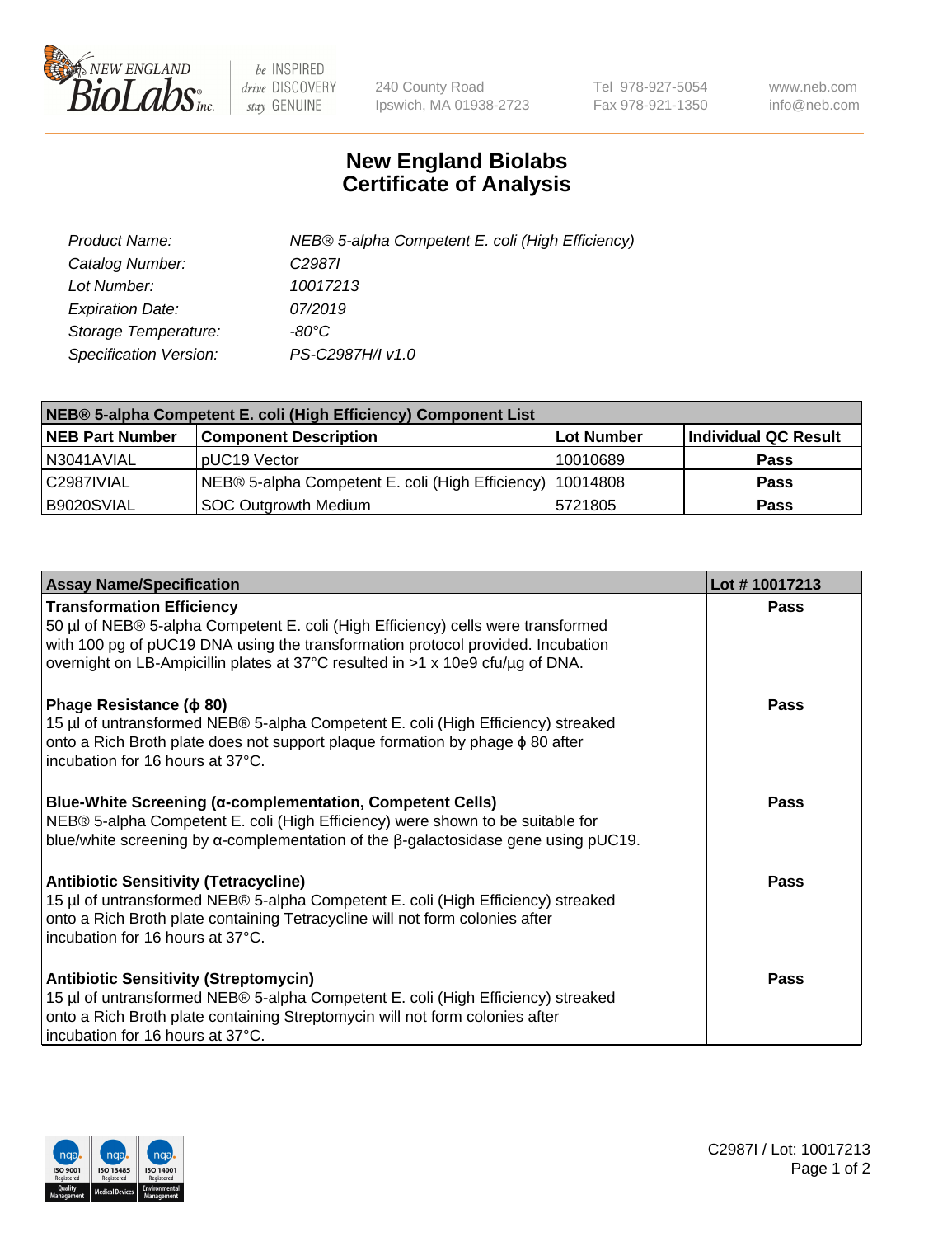

 $be$  INSPIRED drive DISCOVERY stay GENUINE

240 County Road Ipswich, MA 01938-2723 Tel 978-927-5054 Fax 978-921-1350 www.neb.com info@neb.com

## **New England Biolabs Certificate of Analysis**

| Product Name:                 | NEB® 5-alpha Competent E. coli (High Efficiency) |
|-------------------------------|--------------------------------------------------|
| Catalog Number:               | C <sub>2987</sub>                                |
| Lot Number:                   | 10017213                                         |
| <b>Expiration Date:</b>       | 07/2019                                          |
| Storage Temperature:          | -80°C                                            |
| <b>Specification Version:</b> | PS-C2987H/I v1.0                                 |

| NEB® 5-alpha Competent E. coli (High Efficiency) Component List |                                                  |            |                      |  |
|-----------------------------------------------------------------|--------------------------------------------------|------------|----------------------|--|
| <b>NEB Part Number</b>                                          | <b>Component Description</b>                     | Lot Number | Individual QC Result |  |
| N3041AVIAL                                                      | pUC19 Vector                                     | 10010689   | <b>Pass</b>          |  |
| C2987IVIAL                                                      | NEB® 5-alpha Competent E. coli (High Efficiency) | 10014808   | <b>Pass</b>          |  |
| B9020SVIAL                                                      | SOC Outgrowth Medium                             | 5721805    | <b>Pass</b>          |  |

| <b>Assay Name/Specification</b>                                                                                                                                                                                                                                                           | Lot #10017213 |
|-------------------------------------------------------------------------------------------------------------------------------------------------------------------------------------------------------------------------------------------------------------------------------------------|---------------|
| <b>Transformation Efficiency</b><br>50 µl of NEB® 5-alpha Competent E. coli (High Efficiency) cells were transformed<br>with 100 pg of pUC19 DNA using the transformation protocol provided. Incubation<br>overnight on LB-Ampicillin plates at 37°C resulted in >1 x 10e9 cfu/µg of DNA. | Pass          |
| Phage Resistance ( $\phi$ 80)<br>15 µl of untransformed NEB® 5-alpha Competent E. coli (High Efficiency) streaked<br>onto a Rich Broth plate does not support plaque formation by phage $\phi$ 80 after<br>incubation for 16 hours at 37°C.                                               | Pass          |
| <b>Blue-White Screening (α-complementation, Competent Cells)</b><br>NEB® 5-alpha Competent E. coli (High Efficiency) were shown to be suitable for<br>blue/white screening by $\alpha$ -complementation of the $\beta$ -galactosidase gene using pUC19.                                   | Pass          |
| Antibiotic Sensitivity (Tetracycline)<br>15 µl of untransformed NEB® 5-alpha Competent E. coli (High Efficiency) streaked<br>onto a Rich Broth plate containing Tetracycline will not form colonies after<br>incubation for 16 hours at 37°C.                                             | Pass          |
| <b>Antibiotic Sensitivity (Streptomycin)</b><br>15 µl of untransformed NEB® 5-alpha Competent E. coli (High Efficiency) streaked<br>onto a Rich Broth plate containing Streptomycin will not form colonies after<br>incubation for 16 hours at 37°C.                                      | Pass          |